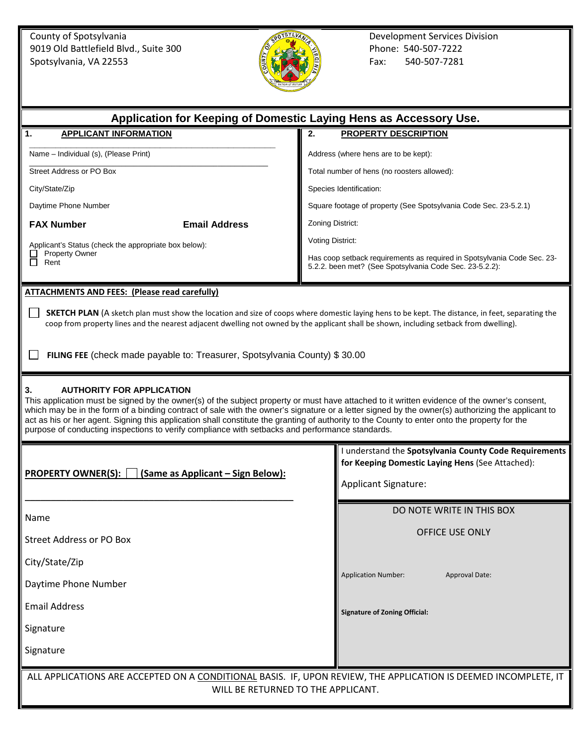County of Spotsylvania Development Services Division<br>
9019 Old Battlefield Blvd., Suite 300 Phone: 540-507-7222 9019 Old Battlefield Blvd., Suite 300 Phone: 540-507-7222 Phone: 540-507-7222 Spotsylvania, VA 22553 Fax: 540-507-7281



| Application for Keeping of Domestic Laying Hens as Accessory Use.                                                                                                                                                                                                                                                                                                                                                                                                                                                                                                                               |                                                                                                                                           |
|-------------------------------------------------------------------------------------------------------------------------------------------------------------------------------------------------------------------------------------------------------------------------------------------------------------------------------------------------------------------------------------------------------------------------------------------------------------------------------------------------------------------------------------------------------------------------------------------------|-------------------------------------------------------------------------------------------------------------------------------------------|
| <b>APPLICANT INFORMATION</b><br>1.                                                                                                                                                                                                                                                                                                                                                                                                                                                                                                                                                              | <b>PROPERTY DESCRIPTION</b><br>2.                                                                                                         |
| Name - Individual (s), (Please Print)                                                                                                                                                                                                                                                                                                                                                                                                                                                                                                                                                           | Address (where hens are to be kept):                                                                                                      |
| Street Address or PO Box                                                                                                                                                                                                                                                                                                                                                                                                                                                                                                                                                                        | Total number of hens (no roosters allowed):                                                                                               |
| City/State/Zip                                                                                                                                                                                                                                                                                                                                                                                                                                                                                                                                                                                  | Species Identification:                                                                                                                   |
| Daytime Phone Number                                                                                                                                                                                                                                                                                                                                                                                                                                                                                                                                                                            | Square footage of property (See Spotsylvania Code Sec. 23-5.2.1)                                                                          |
| <b>FAX Number</b><br><b>Email Address</b>                                                                                                                                                                                                                                                                                                                                                                                                                                                                                                                                                       | Zoning District:                                                                                                                          |
| Applicant's Status (check the appropriate box below):                                                                                                                                                                                                                                                                                                                                                                                                                                                                                                                                           | Voting District:                                                                                                                          |
| <b>Property Owner</b><br>П<br>Rent                                                                                                                                                                                                                                                                                                                                                                                                                                                                                                                                                              | Has coop setback requirements as required in Spotsylvania Code Sec. 23-<br>5.2.2. been met? (See Spotsylvania Code Sec. 23-5.2.2):        |
| <b>ATTACHMENTS AND FEES: (Please read carefully)</b>                                                                                                                                                                                                                                                                                                                                                                                                                                                                                                                                            |                                                                                                                                           |
| <b>SKETCH PLAN</b> (A sketch plan must show the location and size of coops where domestic laying hens to be kept. The distance, in feet, separating the<br>coop from property lines and the nearest adjacent dwelling not owned by the applicant shall be shown, including setback from dwelling).                                                                                                                                                                                                                                                                                              |                                                                                                                                           |
| FILING FEE (check made payable to: Treasurer, Spotsylvania County) \$30.00                                                                                                                                                                                                                                                                                                                                                                                                                                                                                                                      |                                                                                                                                           |
| <b>AUTHORITY FOR APPLICATION</b><br>3.<br>This application must be signed by the owner(s) of the subject property or must have attached to it written evidence of the owner's consent,<br>which may be in the form of a binding contract of sale with the owner's signature or a letter signed by the owner(s) authorizing the applicant to<br>act as his or her agent. Signing this application shall constitute the granting of authority to the County to enter onto the property for the<br>purpose of conducting inspections to verify compliance with setbacks and performance standards. |                                                                                                                                           |
| <b>PROPERTY OWNER(S):</b><br>(Same as Applicant - Sign Below):                                                                                                                                                                                                                                                                                                                                                                                                                                                                                                                                  | I understand the Spotsylvania County Code Requirements<br>for Keeping Domestic Laying Hens (See Attached):<br><b>Applicant Signature:</b> |
|                                                                                                                                                                                                                                                                                                                                                                                                                                                                                                                                                                                                 | DO NOTE WRITE IN THIS BOX                                                                                                                 |
| Name                                                                                                                                                                                                                                                                                                                                                                                                                                                                                                                                                                                            | OFFICE USE ONLY                                                                                                                           |
| <b>Street Address or PO Box</b>                                                                                                                                                                                                                                                                                                                                                                                                                                                                                                                                                                 |                                                                                                                                           |
| City/State/Zip                                                                                                                                                                                                                                                                                                                                                                                                                                                                                                                                                                                  |                                                                                                                                           |
| Daytime Phone Number                                                                                                                                                                                                                                                                                                                                                                                                                                                                                                                                                                            | <b>Application Number:</b><br><b>Approval Date:</b>                                                                                       |
| <b>Email Address</b>                                                                                                                                                                                                                                                                                                                                                                                                                                                                                                                                                                            | <b>Signature of Zoning Official:</b>                                                                                                      |
| Signature                                                                                                                                                                                                                                                                                                                                                                                                                                                                                                                                                                                       |                                                                                                                                           |
| Signature                                                                                                                                                                                                                                                                                                                                                                                                                                                                                                                                                                                       |                                                                                                                                           |
| ALL APPLICATIONS ARE ACCEPTED ON A CONDITIONAL BASIS. IF, UPON REVIEW, THE APPLICATION IS DEEMED INCOMPLETE, IT<br>WILL BE RETURNED TO THE APPLICANT.                                                                                                                                                                                                                                                                                                                                                                                                                                           |                                                                                                                                           |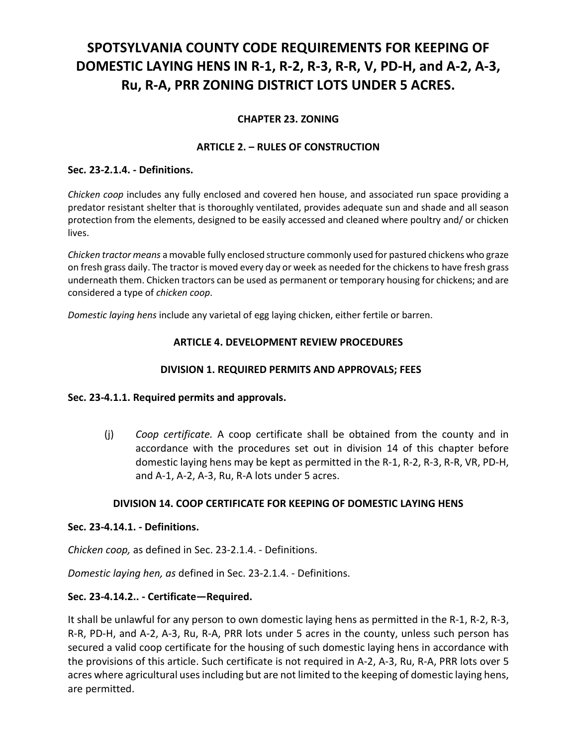# **SPOTSYLVANIA COUNTY CODE REQUIREMENTS FOR KEEPING OF DOMESTIC LAYING HENS IN R-1, R-2, R-3, R-R, V, PD-H, and A-2, A-3, Ru, R-A, PRR ZONING DISTRICT LOTS UNDER 5 ACRES.**

# **CHAPTER 23. ZONING**

## **ARTICLE 2. – RULES OF CONSTRUCTION**

#### **Sec. 23-2.1.4. - Definitions.**

*Chicken coop* includes any fully enclosed and covered hen house, and associated run space providing a predator resistant shelter that is thoroughly ventilated, provides adequate sun and shade and all season protection from the elements, designed to be easily accessed and cleaned where poultry and/ or chicken lives.

*Chicken tractor means* a movable fully enclosed structure commonly used for pastured chickens who graze on fresh grass daily. The tractor is moved every day or week as needed for the chickens to have fresh grass underneath them. Chicken tractors can be used as permanent or temporary housing for chickens; and are considered a type of *chicken coop*.

*Domestic laying hens* include any varietal of egg laying chicken, either fertile or barren.

## **ARTICLE 4. DEVELOPMENT REVIEW PROCEDURES**

## **DIVISION 1. REQUIRED PERMITS AND APPROVALS; FEES**

## **Sec. 23-4.1.1. Required permits and approvals.**

(j) *Coop certificate.* A coop certificate shall be obtained from the county and in accordance with the procedures set out in division 14 of this chapter before domestic laying hens may be kept as permitted in the R-1, R-2, R-3, R-R, VR, PD-H, and A-1, A-2, A-3, Ru, R-A lots under 5 acres.

## **DIVISION 14. COOP CERTIFICATE FOR KEEPING OF DOMESTIC LAYING HENS**

#### **Sec. 23-4.14.1. - Definitions.**

*Chicken coop,* as defined in Sec. 23-2.1.4. - Definitions.

*Domestic laying hen, as* defined in Sec. 23-2.1.4. - Definitions.

## **Sec. 23-4.14.2.. - Certificate—Required.**

It shall be unlawful for any person to own domestic laying hens as permitted in the R-1, R-2, R-3, R-R, PD-H, and A-2, A-3, Ru, R-A, PRR lots under 5 acres in the county, unless such person has secured a valid coop certificate for the housing of such domestic laying hens in accordance with the provisions of this article. Such certificate is not required in A-2, A-3, Ru, R-A, PRR lots over 5 acres where agricultural uses including but are not limited to the keeping of domestic laying hens, are permitted.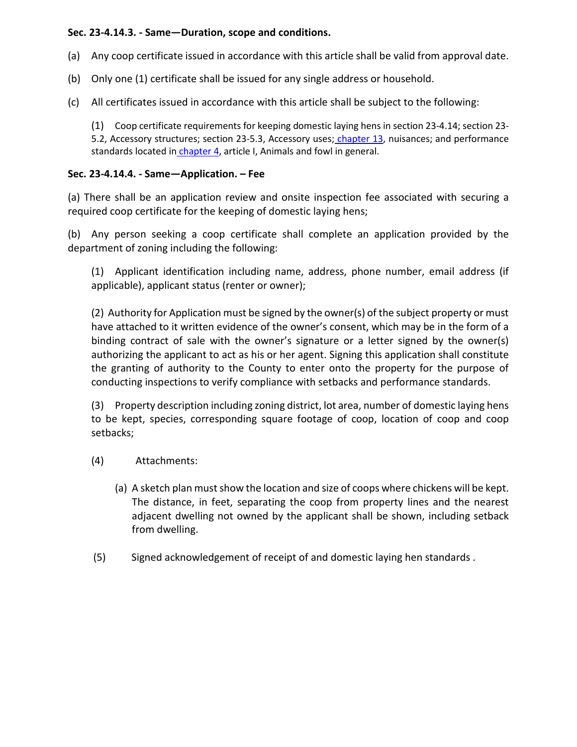## **Sec. 23-4.14.3. - Same—Duration, scope and conditions.**

- (a) Any coop certificate issued in accordance with this article shall be valid from approval date.
- (b) Only one (1) certificate shall be issued for any single address or household.
- (c) All certificates issued in accordance with this article shall be subject to the following:

(1) Coop certificate requirements for keeping domestic laying hens in section 23-4.14; section 23 5.2, Accessory structures; section 23-5.3, Accessory uses; [chapter 13,](https://library.municode.com/va/spotsylvania_county/codes/code_of_ordinances?nodeId=COCO_CH13NU) nuisances; and performance standards located in *chapter 4*, article I, Animals and fowl in general.

# **Sec. 23-4.14.4. - Same—Application. – Fee**

(a) There shall be an application review and onsite inspection fee associated with securing a required coop certificate for the keeping of domestic laying hens;

(b) Any person seeking a coop certificate shall complete an application provided by the department of zoning including the following:

(1) Applicant identification including name, address, phone number, email address (if applicable), applicant status (renter or owner);

(2) Authority for Application must be signed by the owner(s) of the subject property or must have attached to it written evidence of the owner's consent, which may be in the form of a binding contract of sale with the owner's signature or a letter signed by the owner(s) authorizing the applicant to act as his or her agent. Signing this application shall constitute the granting of authority to the County to enter onto the property for the purpose of conducting inspections to verify compliance with setbacks and performance standards.

(3) Property description including zoning district, lot area, number of domestic laying hens to be kept, species, corresponding square footage of coop, location of coop and coop setbacks;

- (4) Attachments:
	- (a) A sketch plan must show the location and size of coops where chickens will be kept. The distance, in feet, separating the coop from property lines and the nearest adjacent dwelling not owned by the applicant shall be shown, including setback from dwelling.
- (5) Signed acknowledgement of receipt of and domestic laying hen standards .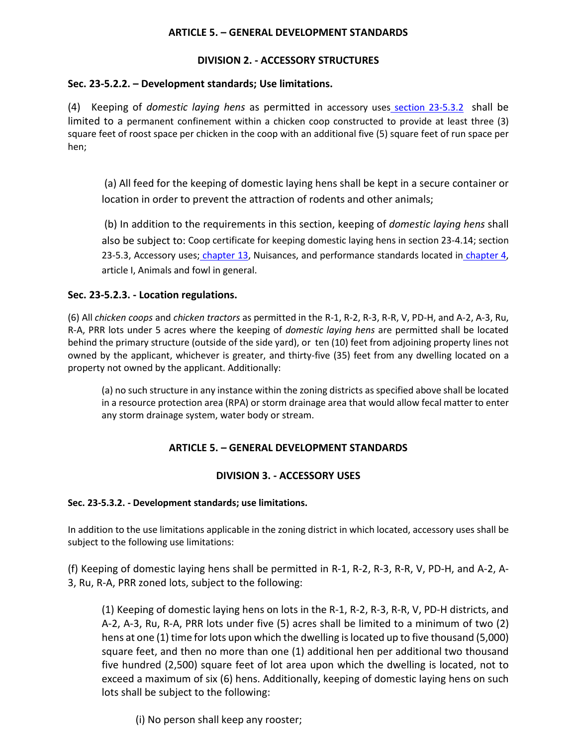#### **ARTICLE 5. – GENERAL DEVELOPMENT STANDARDS**

## **DIVISION 2. - ACCESSORY STRUCTURES**

### **Sec. 23-5.2.2. – Development standards; Use limitations.**

(4) Keeping of *domestic laying hens* as permitted in accessory uses [section 23-5.3.2](https://library.municode.com/va/spotsylvania_county/codes/code_of_ordinances?nodeId=COCO_CH23ZO_ART5GEDEST_DIV3ACUS_S23-5.3.2DESTUSLI) shall be limited to a permanent confinement within a chicken coop constructed to provide at least three (3) square feet of roost space per chicken in the coop with an additional five (5) square feet of run space per hen;

(a) All feed for the keeping of domestic laying hens shall be kept in a secure container or location in order to prevent the attraction of rodents and other animals;

(b) In addition to the requirements in this section, keeping of *domestic laying hens* shall also be subject to: Coop certificate for keeping domestic laying hens in section 23-4.14; section 23-5.3, Accessory uses; [chapter 13,](https://library.municode.com/va/spotsylvania_county/codes/code_of_ordinances?nodeId=COCO_CH13NU) Nuisances, and performance standards located in chapter 4, article I, Animals and fowl in general.

## **Sec. 23-5.2.3. - Location regulations.**

(6) All *chicken coops* and *chicken tractors* as permitted in the R-1, R-2, R-3, R-R, V, PD-H, and A-2, A-3, Ru, R-A, PRR lots under 5 acres where the keeping of *domestic laying hens* are permitted shall be located behind the primary structure (outside of the side yard), or ten (10) feet from adjoining property lines not owned by the applicant, whichever is greater, and thirty-five (35) feet from any dwelling located on a property not owned by the applicant. Additionally:

(a) no such structure in any instance within the zoning districts as specified above shall be located in a resource protection area (RPA) or storm drainage area that would allow fecal matter to enter any storm drainage system, water body or stream.

## **ARTICLE 5. – GENERAL DEVELOPMENT STANDARDS**

#### **DIVISION 3. - ACCESSORY USES**

#### **Sec. 23-5.3.2. - Development standards; use limitations.**

In addition to the use limitations applicable in the zoning district in which located, accessory uses shall be subject to the following use limitations:

(f) Keeping of domestic laying hens shall be permitted in R-1, R-2, R-3, R-R, V, PD-H, and A-2, A-3, Ru, R-A, PRR zoned lots, subject to the following:

(1) Keeping of domestic laying hens on lots in the R-1, R-2, R-3, R-R, V, PD-H districts, and A-2, A-3, Ru, R-A, PRR lots under five (5) acres shall be limited to a minimum of two (2) hens at one (1) time for lots upon which the dwelling is located up to five thousand (5,000) square feet, and then no more than one (1) additional hen per additional two thousand five hundred (2,500) square feet of lot area upon which the dwelling is located, not to exceed a maximum of six (6) hens. Additionally, keeping of domestic laying hens on such lots shall be subject to the following:

(i) No person shall keep any rooster;